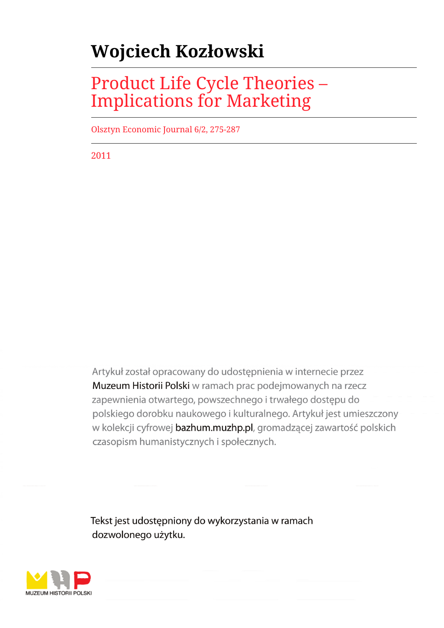# **Wojciech Kozłowski**

## Product Life Cycle Theories – Implications for Marketing

Olsztyn Economic Journal 6/2, 275-287

2011

Artykuł został opracowany do udostępnienia w internecie przez Muzeum Historii Polski w ramach prac podejmowanych na rzecz zapewnienia otwartego, powszechnego i trwałego dostępu do polskiego dorobku naukowego i kulturalnego. Artykuł jest umieszczony w kolekcji cyfrowej bazhum.muzhp.pl, gromadzącej zawartość polskich czasopism humanistycznych i społecznych.

Tekst jest udostępniony do wykorzystania w ramach dozwolonego użytku.

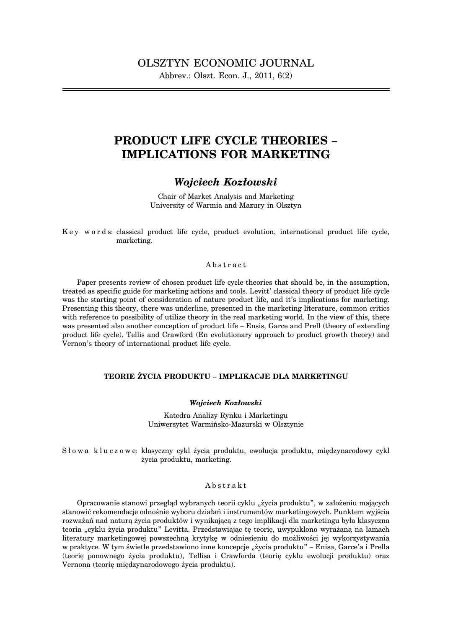## **PRODUCT LIFE CYCLE THEORIES – IMPLICATIONS FOR MARKETING**

## *Wojciech Kozłowski*

Chair of Market Analysis and Marketing University of Warmia and Mazury in Olsztyn

K e y w o r d s: classical product life cycle, product evolution, international product life cycle, marketing.

#### Abstract

Paper presents review of chosen product life cycle theories that should be, in the assumption, treated as specific guide for marketing actions and tools. Levitt' classical theory of product life cycle was the starting point of consideration of nature product life, and it's implications for marketing. Presenting this theory, there was underline, presented in the marketing literature, common critics with reference to possibility of utilize theory in the real marketing world. In the view of this, there was presented also another conception of product life – Ensis, Garce and Prell (theory of extending product life cycle), Tellis and Crawford (En evolutionary approach to product growth theory) and Vernon's theory of international product life cycle.

#### **TEORIE ŻYCIA PRODUKTU – IMPLIKACJE DLA MARKETINGU**

#### *Wojciech Kozłowski*

Katedra Analizy Rynku i Marketingu Uniwersytet Warmińsko-Mazurski w Olsztynie

Słowa kluczowe: klasyczny cykl życia produktu, ewolucja produktu, międzynarodowy cykl życia produktu, marketing.

#### Abstrakt

Opracowanie stanowi przegląd wybranych teorii cyklu "życia produktu", w założeniu mających stanowić rekomendacje odnośnie wyboru działań i instrumentów marketingowych. Punktem wyjścia rozważań nad naturą życia produktów i wynikającą z tego implikacji dla marketingu była klasyczna teoria "cyklu życia produktu" Levitta. Przedstawiając tę teorię, uwypuklono wyrażaną na łamach literatury marketingowej powszechną krytykę w odniesieniu do możliwości jej wykorzystywania w praktyce. W tym świetle przedstawiono inne koncepcje "życia produktu" – Enisa, Garce'a i Prella (teorię ponownego życia produktu), Tellisa i Crawforda (teorię cyklu ewolucji produktu) oraz Vernona (teorię międzynarodowego życia produktu).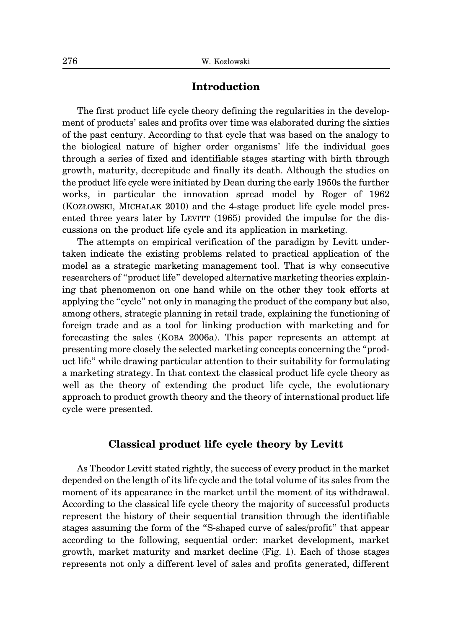#### **Introduction**

The first product life cycle theory defining the regularities in the development of products' sales and profits over time was elaborated during the sixties of the past century. According to that cycle that was based on the analogy to the biological nature of higher order organisms' life the individual goes through a series of fixed and identifiable stages starting with birth through growth, maturity, decrepitude and finally its death. Although the studies on the product life cycle were initiated by Dean during the early 1950s the further works, in particular the innovation spread model by Roger of 1962 (KOZŁOWSKI, MICHALAK 2010) and the 4-stage product life cycle model presented three years later by LEVITT (1965) provided the impulse for the discussions on the product life cycle and its application in marketing.

The attempts on empirical verification of the paradigm by Levitt undertaken indicate the existing problems related to practical application of the model as a strategic marketing management tool. That is why consecutive researchers of "product life" developed alternative marketing theories explaining that phenomenon on one hand while on the other they took efforts at applying the "cycle" not only in managing the product of the company but also, among others, strategic planning in retail trade, explaining the functioning of foreign trade and as a tool for linking production with marketing and for forecasting the sales (KOBA 2006a). This paper represents an attempt at presenting more closely the selected marketing concepts concerning the "product life" while drawing particular attention to their suitability for formulating a marketing strategy. In that context the classical product life cycle theory as well as the theory of extending the product life cycle, the evolutionary approach to product growth theory and the theory of international product life cycle were presented.

#### **Classical product life cycle theory by Levitt**

As Theodor Levitt stated rightly, the success of every product in the market depended on the length of its life cycle and the total volume of its sales from the moment of its appearance in the market until the moment of its withdrawal. According to the classical life cycle theory the majority of successful products represent the history of their sequential transition through the identifiable stages assuming the form of the "S-shaped curve of sales/profit" that appear according to the following, sequential order: market development, market growth, market maturity and market decline (Fig. 1). Each of those stages represents not only a different level of sales and profits generated, different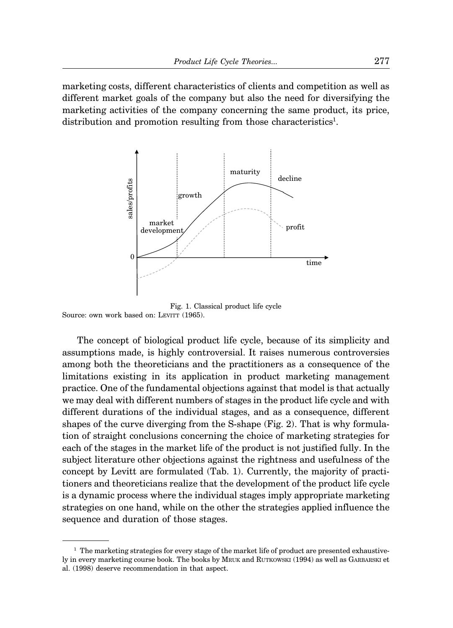marketing costs, different characteristics of clients and competition as well as different market goals of the company but also the need for diversifying the marketing activities of the company concerning the same product, its price, distribution and promotion resulting from those characteristics<sup>1</sup>.



Fig. 1. Classical product life cycle Source: own work based on: LEVITT (1965).

The concept of biological product life cycle, because of its simplicity and assumptions made, is highly controversial. It raises numerous controversies among both the theoreticians and the practitioners as a consequence of the limitations existing in its application in product marketing management practice. One of the fundamental objections against that model is that actually we may deal with different numbers of stages in the product life cycle and with different durations of the individual stages, and as a consequence, different shapes of the curve diverging from the S-shape (Fig. 2). That is why formulation of straight conclusions concerning the choice of marketing strategies for each of the stages in the market life of the product is not justified fully. In the subject literature other objections against the rightness and usefulness of the concept by Levitt are formulated (Tab. 1). Currently, the majority of practitioners and theoreticians realize that the development of the product life cycle is a dynamic process where the individual stages imply appropriate marketing strategies on one hand, while on the other the strategies applied influence the sequence and duration of those stages.

 $<sup>1</sup>$  The marketing strategies for every stage of the market life of product are presented exhaustive-</sup> ly in every marketing course book. The books by MRUK and RUTKOWSKI (1994) as well as GARBARSKI et al. (1998) deserve recommendation in that aspect.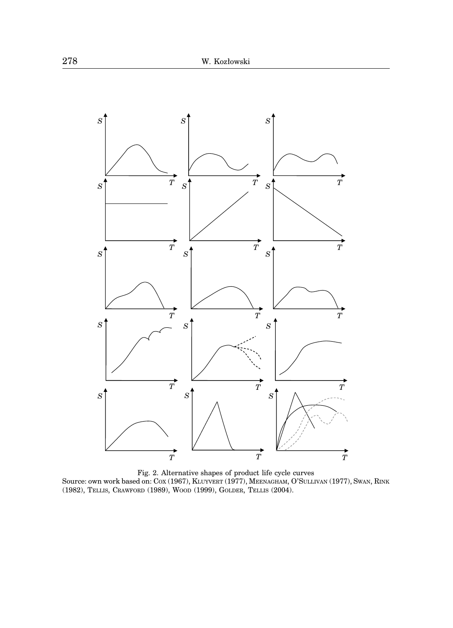

Fig. 2. Alternative shapes of product life cycle curves Source: own work based on: COX (1967), KLUYVERT (1977), MEENAGHAM, O'SULLIVAN (1977), SWAN, RINK (1982), TELLIS, CRAWFORD (1989), WOOD (1999), GOLDER, TELLIS (2004).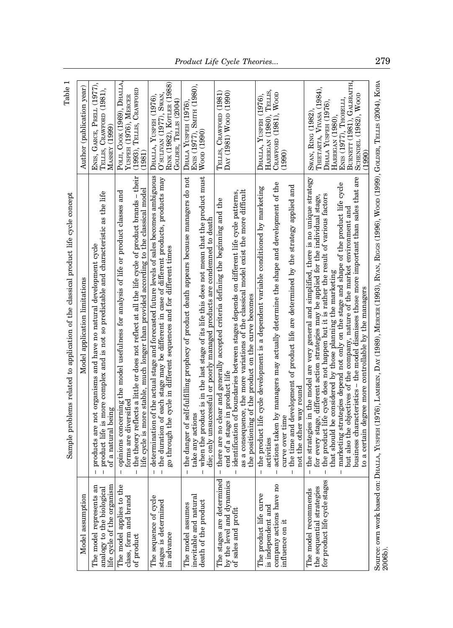| $l$ able $l$                                                                       | Author (publication year)     | ENIS, GARCE, PRELL (1977),<br>TELLIS, CRAWFORD (1981),<br>MASSEY (1999)                                                                                                         | Роід, Соок (1969), Dhalla,<br>(1993), TELLIS, CRAWFORD<br>YUSPEH (1976), MERCER<br>1981                                                                                                                                                                                                                      | RINK (1982), KOTLER (1988)<br>DHALLA, YUSPEH (1976),<br>O'SULIVAN (1977), SWAN<br>GOLDER, TELLIS (2004)                                                                                                                                                     | ENIS (1977), SMITH (1980),<br>DHALA YUSPEH (1976)<br>$W$ oop (1990)                                                                                                                                                                                                                   | TELLIS, CRAWFORD (1981)<br>$\text{Day (1981)} \text{ Wood (1990)}$                                                                                                                                                                                                                                                                                              | HARRIGAN (1980), TELLIS,<br>Woon<br>DHALLA, YUSPEH (1976),<br>CRAWFORD (1981).<br>(1990)                                                                                                                                                                                                                                    | BURNETT (1981), GALBRAITH,<br>THIETARTA, VIVASA (1984),<br>SCHENDEL (1982), WOOD<br>ENIS (1977), THORELLI,<br>DHALA YUSPEH (1976),<br>SwAN, RING (1982)<br>HARRIGAN (1980),<br>(1990                                                                                                                                                                                                                                                                                                                                                                                                                                                                                 |                                                                                                                                                               |
|------------------------------------------------------------------------------------|-------------------------------|---------------------------------------------------------------------------------------------------------------------------------------------------------------------------------|--------------------------------------------------------------------------------------------------------------------------------------------------------------------------------------------------------------------------------------------------------------------------------------------------------------|-------------------------------------------------------------------------------------------------------------------------------------------------------------------------------------------------------------------------------------------------------------|---------------------------------------------------------------------------------------------------------------------------------------------------------------------------------------------------------------------------------------------------------------------------------------|-----------------------------------------------------------------------------------------------------------------------------------------------------------------------------------------------------------------------------------------------------------------------------------------------------------------------------------------------------------------|-----------------------------------------------------------------------------------------------------------------------------------------------------------------------------------------------------------------------------------------------------------------------------------------------------------------------------|----------------------------------------------------------------------------------------------------------------------------------------------------------------------------------------------------------------------------------------------------------------------------------------------------------------------------------------------------------------------------------------------------------------------------------------------------------------------------------------------------------------------------------------------------------------------------------------------------------------------------------------------------------------------|---------------------------------------------------------------------------------------------------------------------------------------------------------------|
| Sample problems related to application of the classical product life cycle concept | Model application limitations | product life is more complex and is not so predictable and characteristic as the life<br>products are not organisms and have no natural development cycle<br>of a natural being | the theory reflects a little or does not reflect at all the life cycle of product brands $-$ their<br>life cycle is more stable, much longer than provided according to the classical model<br>opinions concerning the model usefulness for analysis of life or product classes and<br>torms are diversified | determination of the actual stage and forecasted future levels of sales becomes ambiguous<br>the duration of each stage may be different in case of different products, products may<br>go through the cycle in different sequences and for different times | the danger of self-fulfilling prophecy of product death appears because managers do not<br>when the product is in the last stage of its life this does not mean that the product must<br>die; only unsuccessful or poorly managed products are condemned to death<br>take any actions | as a consequence, the more variations of the classical model exist the more difficult<br>identification of boundaries between stages depends on different life cycle patterns,<br>the<br>there are no clear and generally accepted criteria defining the beginning and<br>the positioning of the product on the curve becomes<br>end of a stage in product life | actions taken by managers may actually determine the shape and development of the<br>the time and development of product life are determined by the strategy applied and<br>the product life cycle development is a dependent variable conditioned by marketing<br>not the other way round<br>curve over time<br>activities | business characteristics – the model dismisses those more important than sales that are<br>the strategies in the model are very general and simplified, there is no unique strategy<br>marketing strategies depend not only on the stage and shape of the product life cycle<br>the product life cycle does not happen but it is rather the result of various factors<br>for every stage, different action strategies may be applied for the individual stage,<br>but also the objectives of the company, nature of the market environment and<br>that should be considered by those planning the marketing<br>to a certain degree more controllable by the managers | Source: own work based on: DHALLA, YUSPEH (1976), LAMEKIN, DAY (1989), MERCER (1993), RYAN, RIGGS (1996), WOOD (1999), GOLDER, TELLIS (2004), KOBA<br>2006b). |
|                                                                                    | Model assumption              | life cycle of the organism<br>The model represents an<br>analogy to the biological                                                                                              | The model applies to the<br>class, form and brand<br>of product                                                                                                                                                                                                                                              | The sequence of cycle<br>stages is determined<br>in advance                                                                                                                                                                                                 | inevitable and natural<br>death of the product<br>The model assumes                                                                                                                                                                                                                   | ЪЭ<br>පී<br>The stages are determin<br>by the level and dynami<br>of sales and profit                                                                                                                                                                                                                                                                           | company actions have no<br>The product life curve<br>is independent and<br>influence on it                                                                                                                                                                                                                                  | 89<br>The model recommends<br>the sequential strategies<br>for product life cycle stag                                                                                                                                                                                                                                                                                                                                                                                                                                                                                                                                                                               |                                                                                                                                                               |

Table 1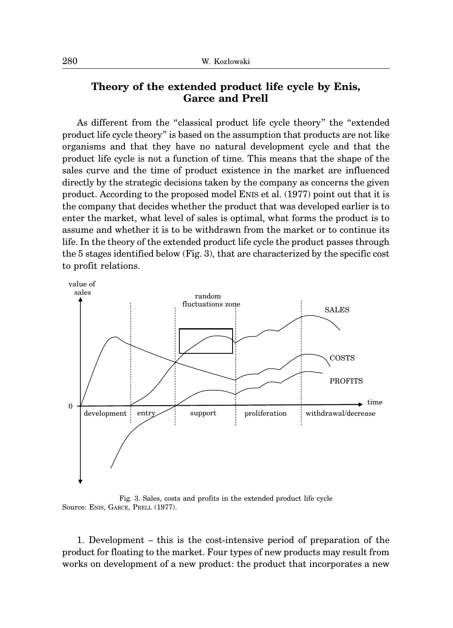## **Theory of the extended product life cycle by Enis, Garce and Prell**

As different from the "classical product life cycle theory" the "extended product life cycle theory" is based on the assumption that products are not like organisms and that they have no natural development cycle and that the product life cycle is not a function of time. This means that the shape of the sales curve and the time of product existence in the market are influenced directly by the strategic decisions taken by the company as concerns the given product. According to the proposed model ENIS et al. (1977) point out that it is the company that decides whether the product that was developed earlier is to enter the market, what level of sales is optimal, what forms the product is to assume and whether it is to be withdrawn from the market or to continue its life. In the theory of the extended product life cycle the product passes through the 5 stages identified below (Fig. 3)*,* that are characterized by the specific cost to profit relations.



Fig. 3. Sales, costs and profits in the extended product life cycle Source: ENIS, GARCE, PRELL (1977).

1. Development – this is the cost-intensive period of preparation of the product for floating to the market. Four types of new products may result from works on development of a new product: the product that incorporates a new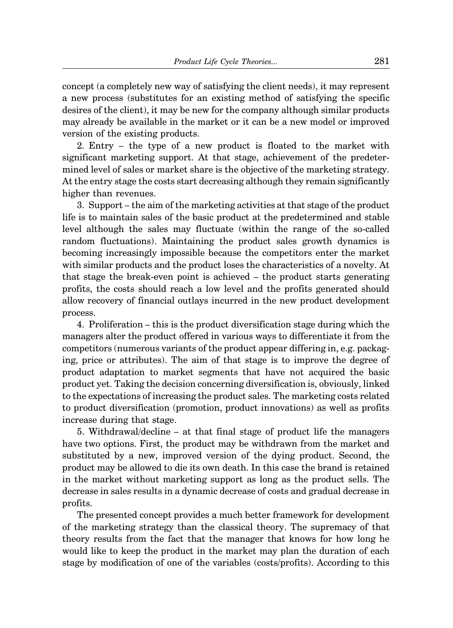concept (a completely new way of satisfying the client needs), it may represent a new process (substitutes for an existing method of satisfying the specific desires of the client), it may be new for the company although similar products may already be available in the market or it can be a new model or improved version of the existing products.

2. Entry – the type of a new product is floated to the market with significant marketing support. At that stage, achievement of the predetermined level of sales or market share is the objective of the marketing strategy. At the entry stage the costs start decreasing although they remain significantly higher than revenues.

3. Support – the aim of the marketing activities at that stage of the product life is to maintain sales of the basic product at the predetermined and stable level although the sales may fluctuate (within the range of the so-called random fluctuations). Maintaining the product sales growth dynamics is becoming increasingly impossible because the competitors enter the market with similar products and the product loses the characteristics of a novelty. At that stage the break-even point is achieved – the product starts generating profits, the costs should reach a low level and the profits generated should allow recovery of financial outlays incurred in the new product development process.

4. Proliferation – this is the product diversification stage during which the managers alter the product offered in various ways to differentiate it from the competitors (numerous variants of the product appear differing in, e.g. packaging, price or attributes). The aim of that stage is to improve the degree of product adaptation to market segments that have not acquired the basic product yet. Taking the decision concerning diversification is, obviously, linked to the expectations of increasing the product sales. The marketing costs related to product diversification (promotion, product innovations) as well as profits increase during that stage.

5. Withdrawal/decline – at that final stage of product life the managers have two options. First, the product may be withdrawn from the market and substituted by a new, improved version of the dying product. Second, the product may be allowed to die its own death. In this case the brand is retained in the market without marketing support as long as the product sells. The decrease in sales results in a dynamic decrease of costs and gradual decrease in profits.

The presented concept provides a much better framework for development of the marketing strategy than the classical theory. The supremacy of that theory results from the fact that the manager that knows for how long he would like to keep the product in the market may plan the duration of each stage by modification of one of the variables (costs/profits). According to this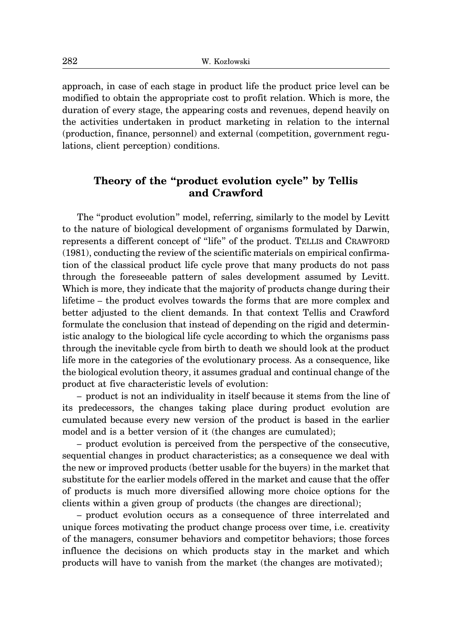approach, in case of each stage in product life the product price level can be modified to obtain the appropriate cost to profit relation. Which is more, the duration of every stage, the appearing costs and revenues, depend heavily on the activities undertaken in product marketing in relation to the internal (production, finance, personnel) and external (competition, government regulations, client perception) conditions.

### **Theory of the "product evolution cycle" by Tellis and Crawford**

The "product evolution" model, referring, similarly to the model by Levitt to the nature of biological development of organisms formulated by Darwin, represents a different concept of "life" of the product. TELLIS and CRAWFORD (1981), conducting the review of the scientific materials on empirical confirmation of the classical product life cycle prove that many products do not pass through the foreseeable pattern of sales development assumed by Levitt. Which is more, they indicate that the majority of products change during their lifetime – the product evolves towards the forms that are more complex and better adjusted to the client demands. In that context Tellis and Crawford formulate the conclusion that instead of depending on the rigid and deterministic analogy to the biological life cycle according to which the organisms pass through the inevitable cycle from birth to death we should look at the product life more in the categories of the evolutionary process. As a consequence, like the biological evolution theory, it assumes gradual and continual change of the product at five characteristic levels of evolution:

– product is not an individuality in itself because it stems from the line of its predecessors, the changes taking place during product evolution are cumulated because every new version of the product is based in the earlier model and is a better version of it (the changes are cumulated);

– product evolution is perceived from the perspective of the consecutive, sequential changes in product characteristics; as a consequence we deal with the new or improved products (better usable for the buyers) in the market that substitute for the earlier models offered in the market and cause that the offer of products is much more diversified allowing more choice options for the clients within a given group of products (the changes are directional);

– product evolution occurs as a consequence of three interrelated and unique forces motivating the product change process over time, i.e. creativity of the managers, consumer behaviors and competitor behaviors; those forces influence the decisions on which products stay in the market and which products will have to vanish from the market (the changes are motivated);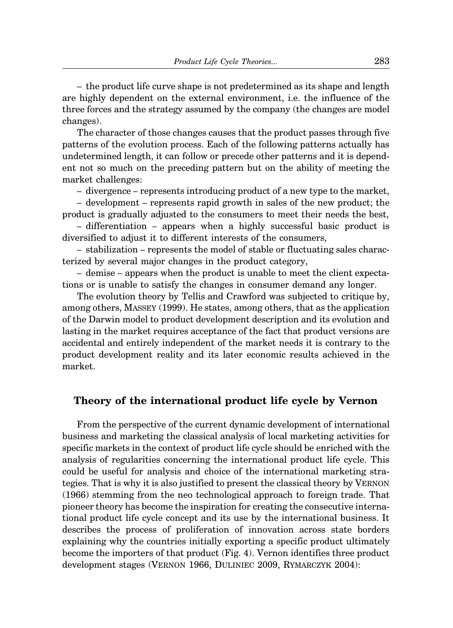– the product life curve shape is not predetermined as its shape and length are highly dependent on the external environment, i.e. the influence of the three forces and the strategy assumed by the company (the changes are model changes).

The character of those changes causes that the product passes through five patterns of the evolution process. Each of the following patterns actually has undetermined length, it can follow or precede other patterns and it is dependent not so much on the preceding pattern but on the ability of meeting the market challenges:

– divergence – represents introducing product of a new type to the market,

– development – represents rapid growth in sales of the new product; the product is gradually adjusted to the consumers to meet their needs the best,

– differentiation – appears when a highly successful basic product is diversified to adjust it to different interests of the consumers,

– stabilization – represents the model of stable or fluctuating sales characterized by several major changes in the product category,

– demise – appears when the product is unable to meet the client expectations or is unable to satisfy the changes in consumer demand any longer.

The evolution theory by Tellis and Crawford was subjected to critique by, among others, MASSEY (1999). He states, among others, that as the application of the Darwin model to product development description and its evolution and lasting in the market requires acceptance of the fact that product versions are accidental and entirely independent of the market needs it is contrary to the product development reality and its later economic results achieved in the market.

### **Theory of the international product life cycle by Vernon**

From the perspective of the current dynamic development of international business and marketing the classical analysis of local marketing activities for specific markets in the context of product life cycle should be enriched with the analysis of regularities concerning the international product life cycle. This could be useful for analysis and choice of the international marketing strategies. That is why it is also justified to present the classical theory by VERNON (1966) stemming from the neo technological approach to foreign trade. That pioneer theory has become the inspiration for creating the consecutive international product life cycle concept and its use by the international business. It describes the process of proliferation of innovation across state borders explaining why the countries initially exporting a specific product ultimately become the importers of that product (Fig. 4). Vernon identifies three product development stages (VERNON 1966, DULINIEC 2009, RYMARCZYK 2004):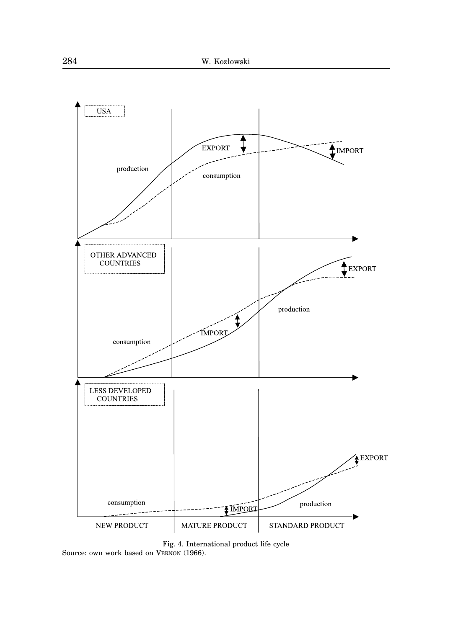

Fig. 4. International product life cycle Source: own work based on VERNON (1966).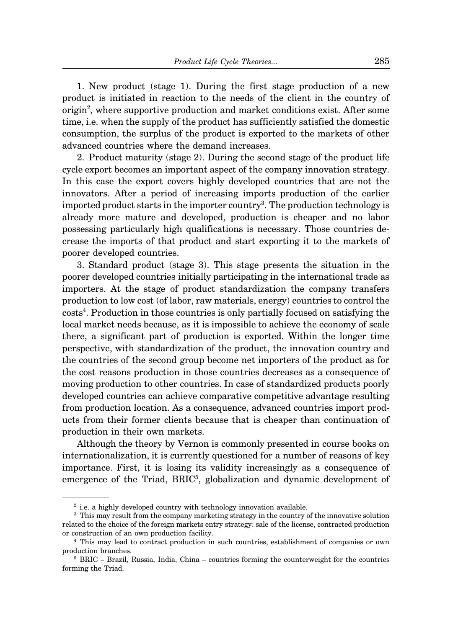1. New product (stage 1). During the first stage production of a new product is initiated in reaction to the needs of the client in the country of origin<sup>2</sup>, where supportive production and market conditions exist. After some time, i.e. when the supply of the product has sufficiently satisfied the domestic consumption, the surplus of the product is exported to the markets of other advanced countries where the demand increases.

2. Product maturity (stage 2). During the second stage of the product life cycle export becomes an important aspect of the company innovation strategy. In this case the export covers highly developed countries that are not the innovators. After a period of increasing imports production of the earlier imported product starts in the importer country<sup>3</sup>. The production technology is already more mature and developed, production is cheaper and no labor possessing particularly high qualifications is necessary. Those countries decrease the imports of that product and start exporting it to the markets of poorer developed countries.

3. Standard product (stage 3). This stage presents the situation in the poorer developed countries initially participating in the international trade as importers. At the stage of product standardization the company transfers production to low cost (of labor, raw materials, energy) countries to control the costs<sup>4</sup>. Production in those countries is only partially focused on satisfying the local market needs because, as it is impossible to achieve the economy of scale there, a significant part of production is exported. Within the longer time perspective, with standardization of the product, the innovation country and the countries of the second group become net importers of the product as for the cost reasons production in those countries decreases as a consequence of moving production to other countries. In case of standardized products poorly developed countries can achieve comparative competitive advantage resulting from production location. As a consequence, advanced countries import products from their former clients because that is cheaper than continuation of production in their own markets.

Although the theory by Vernon is commonly presented in course books on internationalization, it is currently questioned for a number of reasons of key importance. First, it is losing its validity increasingly as a consequence of emergence of the Triad, BRIC<sup>5</sup>, globalization and dynamic development of

<sup>&</sup>lt;sup>2</sup> i.e. a highly developed country with technology innovation available.

<sup>&</sup>lt;sup>3</sup> This may result from the company marketing strategy in the country of the innovative solution related to the choice of the foreign markets entry strategy: sale of the license, contracted production or construction of an own production facility.

<sup>4</sup> This may lead to contract production in such countries, establishment of companies or own production branches.

 $5$  BRIC – Brazil, Russia, India, China – countries forming the counterweight for the countries forming the Triad.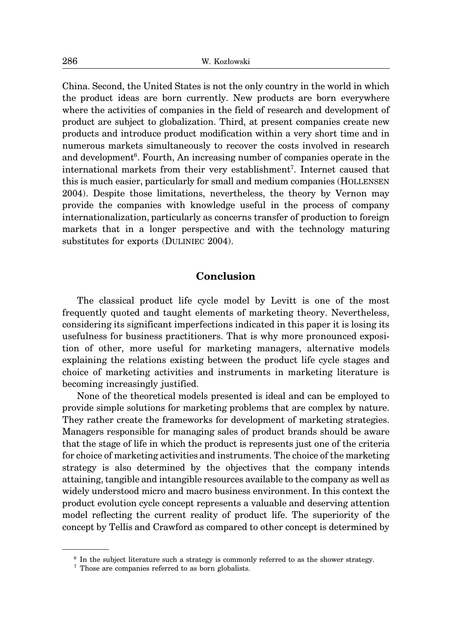China. Second, the United States is not the only country in the world in which the product ideas are born currently. New products are born everywhere where the activities of companies in the field of research and development of product are subject to globalization. Third, at present companies create new products and introduce product modification within a very short time and in numerous markets simultaneously to recover the costs involved in research and development<sup>6</sup>. Fourth, An increasing number of companies operate in the international markets from their very establishment<sup>7</sup>. Internet caused that this is much easier, particularly for small and medium companies (HOLLENSEN 2004). Despite those limitations, nevertheless, the theory by Vernon may provide the companies with knowledge useful in the process of company internationalization, particularly as concerns transfer of production to foreign markets that in a longer perspective and with the technology maturing substitutes for exports (DULINIEC 2004).

### **Conclusion**

The classical product life cycle model by Levitt is one of the most frequently quoted and taught elements of marketing theory. Nevertheless, considering its significant imperfections indicated in this paper it is losing its usefulness for business practitioners. That is why more pronounced exposition of other, more useful for marketing managers, alternative models explaining the relations existing between the product life cycle stages and choice of marketing activities and instruments in marketing literature is becoming increasingly justified.

None of the theoretical models presented is ideal and can be employed to provide simple solutions for marketing problems that are complex by nature. They rather create the frameworks for development of marketing strategies. Managers responsible for managing sales of product brands should be aware that the stage of life in which the product is represents just one of the criteria for choice of marketing activities and instruments. The choice of the marketing strategy is also determined by the objectives that the company intends attaining, tangible and intangible resources available to the company as well as widely understood micro and macro business environment. In this context the product evolution cycle concept represents a valuable and deserving attention model reflecting the current reality of product life. The superiority of the concept by Tellis and Crawford as compared to other concept is determined by

<sup>6</sup> In the subject literature such a strategy is commonly referred to as the shower strategy.

<sup>7</sup> Those are companies referred to as born globalists.